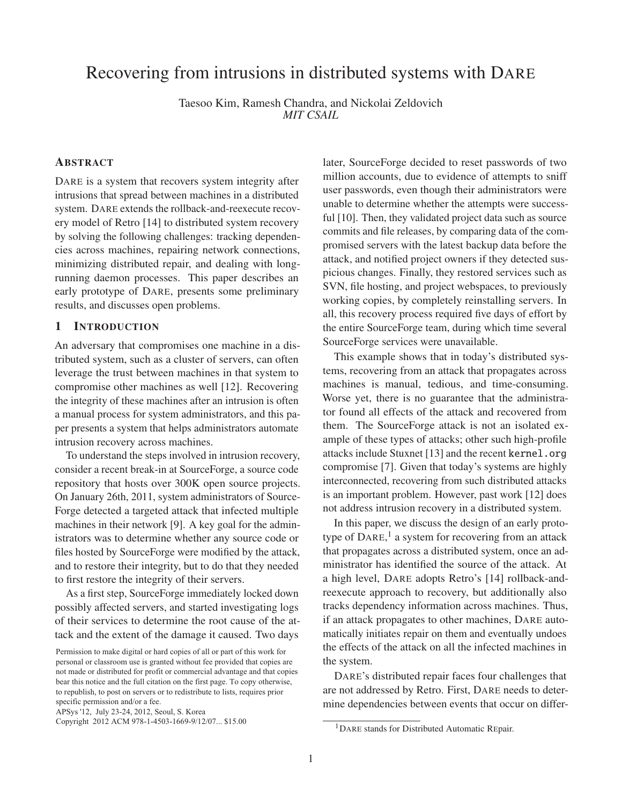# Recovering from intrusions in distributed systems with DARE

Taesoo Kim, Ramesh Chandra, and Nickolai Zeldovich *MIT CSAIL*

# ABSTRACT

DARE is a system that recovers system integrity after intrusions that spread between machines in a distributed system. DARE extends the rollback-and-reexecute recovery model of Retro [14] to distributed system recovery by solving the following challenges: tracking dependencies across machines, repairing network connections, minimizing distributed repair, and dealing with longrunning daemon processes. This paper describes an early prototype of DARE, presents some preliminary results, and discusses open problems.

### 1 INTRODUCTION

An adversary that compromises one machine in a distributed system, such as a cluster of servers, can often leverage the trust between machines in that system to compromise other machines as well [12]. Recovering the integrity of these machines after an intrusion is often a manual process for system administrators, and this paper presents a system that helps administrators automate intrusion recovery across machines.

To understand the steps involved in intrusion recovery, consider a recent break-in at SourceForge, a source code repository that hosts over 300K open source projects. On January 26th, 2011, system administrators of Source-Forge detected a targeted attack that infected multiple machines in their network [9]. A key goal for the administrators was to determine whether any source code or files hosted by SourceForge were modified by the attack, and to restore their integrity, but to do that they needed to first restore the integrity of their servers.

As a first step, SourceForge immediately locked down possibly affected servers, and started investigating logs of their services to determine the root cause of the attack and the extent of the damage it caused. Two days

APSys '12, July 23-24, 2012, Seoul, S. Korea

later, SourceForge decided to reset passwords of two million accounts, due to evidence of attempts to sniff user passwords, even though their administrators were unable to determine whether the attempts were successful [10]. Then, they validated project data such as source commits and file releases, by comparing data of the compromised servers with the latest backup data before the attack, and notified project owners if they detected suspicious changes. Finally, they restored services such as SVN, file hosting, and project webspaces, to previously working copies, by completely reinstalling servers. In all, this recovery process required five days of effort by the entire SourceForge team, during which time several SourceForge services were unavailable.

This example shows that in today's distributed systems, recovering from an attack that propagates across machines is manual, tedious, and time-consuming. Worse yet, there is no guarantee that the administrator found all effects of the attack and recovered from them. The SourceForge attack is not an isolated example of these types of attacks; other such high-profile attacks include Stuxnet [13] and the recent kernel.org compromise [7]. Given that today's systems are highly interconnected, recovering from such distributed attacks is an important problem. However, past work [12] does not address intrusion recovery in a distributed system.

In this paper, we discuss the design of an early prototype of DARE,<sup>1</sup> a system for recovering from an attack that propagates across a distributed system, once an administrator has identified the source of the attack. At a high level, DARE adopts Retro's [14] rollback-andreexecute approach to recovery, but additionally also tracks dependency information across machines. Thus, if an attack propagates to other machines, DARE automatically initiates repair on them and eventually undoes the effects of the attack on all the infected machines in the system.

DARE's distributed repair faces four challenges that are not addressed by Retro. First, DARE needs to determine dependencies between events that occur on differ-

Permission to make digital or hard copies of all or part of this work for personal or classroom use is granted without fee provided that copies are not made or distributed for profit or commercial advantage and that copies bear this notice and the full citation on the first page. To copy otherwise, to republish, to post on servers or to redistribute to lists, requires prior specific permission and/or a fee.

Copyright 2012 ACM 978-1-4503-1669-9/12/07... \$15.00

<sup>&</sup>lt;sup>1</sup>DARE stands for Distributed Automatic REpair.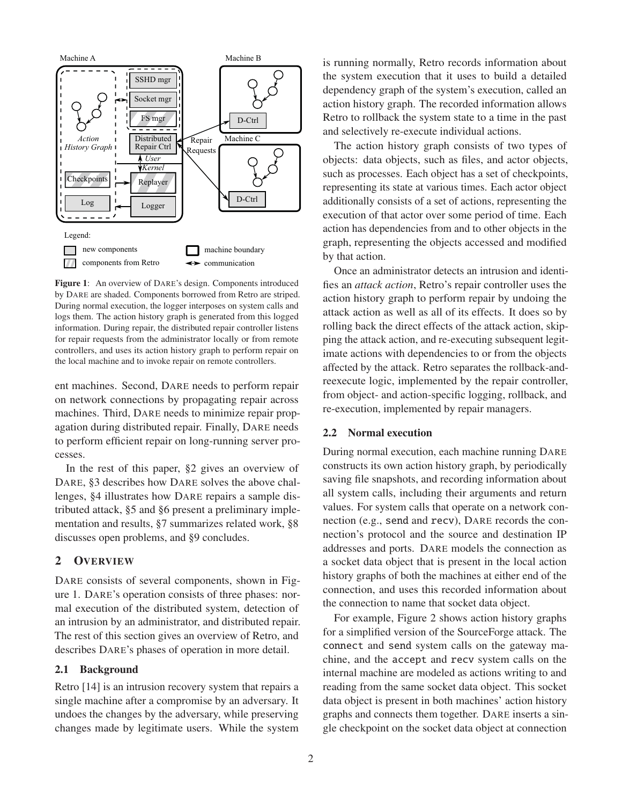

Figure 1: An overview of DARE's design. Components introduced by DARE are shaded. Components borrowed from Retro are striped. During normal execution, the logger interposes on system calls and logs them. The action history graph is generated from this logged information. During repair, the distributed repair controller listens for repair requests from the administrator locally or from remote controllers, and uses its action history graph to perform repair on the local machine and to invoke repair on remote controllers.

ent machines. Second, DARE needs to perform repair on network connections by propagating repair across machines. Third, DARE needs to minimize repair propagation during distributed repair. Finally, DARE needs to perform efficient repair on long-running server processes.

In the rest of this paper, §2 gives an overview of DARE, §3 describes how DARE solves the above challenges, §4 illustrates how DARE repairs a sample distributed attack, §5 and §6 present a preliminary implementation and results, §7 summarizes related work, §8 discusses open problems, and §9 concludes.

# 2 OVERVIEW

DARE consists of several components, shown in Figure 1. DARE's operation consists of three phases: normal execution of the distributed system, detection of an intrusion by an administrator, and distributed repair. The rest of this section gives an overview of Retro, and describes DARE's phases of operation in more detail.

# 2.1 Background

Retro [14] is an intrusion recovery system that repairs a single machine after a compromise by an adversary. It undoes the changes by the adversary, while preserving changes made by legitimate users. While the system is running normally, Retro records information about the system execution that it uses to build a detailed dependency graph of the system's execution, called an action history graph. The recorded information allows Retro to rollback the system state to a time in the past and selectively re-execute individual actions.

The action history graph consists of two types of objects: data objects, such as files, and actor objects, such as processes. Each object has a set of checkpoints, representing its state at various times. Each actor object additionally consists of a set of actions, representing the execution of that actor over some period of time. Each action has dependencies from and to other objects in the graph, representing the objects accessed and modified by that action.

Once an administrator detects an intrusion and identifies an *attack action*, Retro's repair controller uses the action history graph to perform repair by undoing the attack action as well as all of its effects. It does so by rolling back the direct effects of the attack action, skipping the attack action, and re-executing subsequent legitimate actions with dependencies to or from the objects affected by the attack. Retro separates the rollback-andreexecute logic, implemented by the repair controller, from object- and action-specific logging, rollback, and re-execution, implemented by repair managers.

# 2.2 Normal execution

During normal execution, each machine running DARE constructs its own action history graph, by periodically saving file snapshots, and recording information about all system calls, including their arguments and return values. For system calls that operate on a network connection (e.g., send and recv), DARE records the connection's protocol and the source and destination IP addresses and ports. DARE models the connection as a socket data object that is present in the local action history graphs of both the machines at either end of the connection, and uses this recorded information about the connection to name that socket data object.

For example, Figure 2 shows action history graphs for a simplified version of the SourceForge attack. The connect and send system calls on the gateway machine, and the accept and recv system calls on the internal machine are modeled as actions writing to and reading from the same socket data object. This socket data object is present in both machines' action history graphs and connects them together. DARE inserts a single checkpoint on the socket data object at connection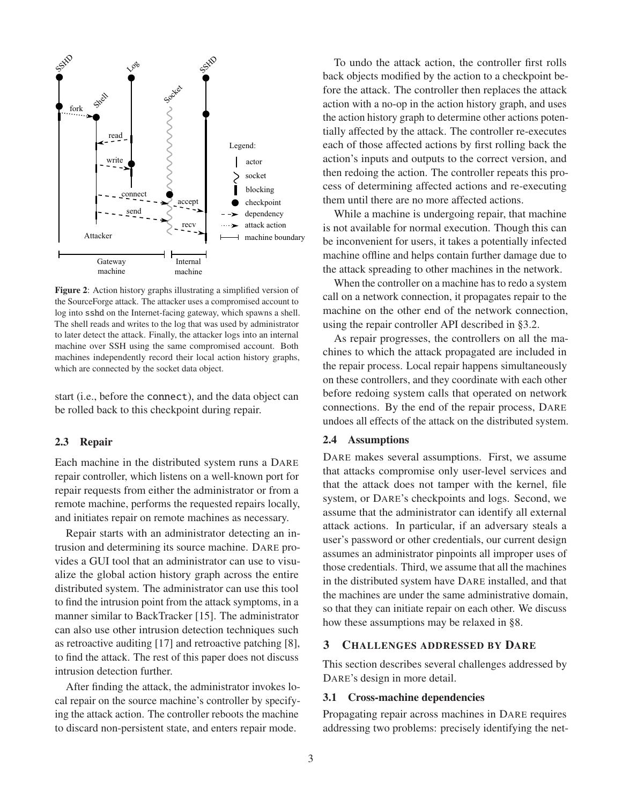

Figure 2: Action history graphs illustrating a simplified version of the SourceForge attack. The attacker uses a compromised account to log into sshd on the Internet-facing gateway, which spawns a shell. The shell reads and writes to the log that was used by administrator to later detect the attack. Finally, the attacker logs into an internal machine over SSH using the same compromised account. Both machines independently record their local action history graphs, which are connected by the socket data object.

start (i.e., before the connect), and the data object can be rolled back to this checkpoint during repair.

### 2.3 Repair

Each machine in the distributed system runs a DARE repair controller, which listens on a well-known port for repair requests from either the administrator or from a remote machine, performs the requested repairs locally, and initiates repair on remote machines as necessary.

Repair starts with an administrator detecting an intrusion and determining its source machine. DARE provides a GUI tool that an administrator can use to visualize the global action history graph across the entire distributed system. The administrator can use this tool to find the intrusion point from the attack symptoms, in a manner similar to BackTracker [15]. The administrator can also use other intrusion detection techniques such as retroactive auditing [17] and retroactive patching [8], to find the attack. The rest of this paper does not discuss intrusion detection further.

After finding the attack, the administrator invokes local repair on the source machine's controller by specifying the attack action. The controller reboots the machine to discard non-persistent state, and enters repair mode.

To undo the attack action, the controller first rolls back objects modified by the action to a checkpoint before the attack. The controller then replaces the attack action with a no-op in the action history graph, and uses the action history graph to determine other actions potentially affected by the attack. The controller re-executes each of those affected actions by first rolling back the action's inputs and outputs to the correct version, and then redoing the action. The controller repeats this process of determining affected actions and re-executing them until there are no more affected actions.

While a machine is undergoing repair, that machine is not available for normal execution. Though this can be inconvenient for users, it takes a potentially infected machine offline and helps contain further damage due to the attack spreading to other machines in the network.

When the controller on a machine has to redo a system call on a network connection, it propagates repair to the machine on the other end of the network connection, using the repair controller API described in §3.2.

As repair progresses, the controllers on all the machines to which the attack propagated are included in the repair process. Local repair happens simultaneously on these controllers, and they coordinate with each other before redoing system calls that operated on network connections. By the end of the repair process, DARE undoes all effects of the attack on the distributed system.

#### 2.4 Assumptions

DARE makes several assumptions. First, we assume that attacks compromise only user-level services and that the attack does not tamper with the kernel, file system, or DARE's checkpoints and logs. Second, we assume that the administrator can identify all external attack actions. In particular, if an adversary steals a user's password or other credentials, our current design assumes an administrator pinpoints all improper uses of those credentials. Third, we assume that all the machines in the distributed system have DARE installed, and that the machines are under the same administrative domain, so that they can initiate repair on each other. We discuss how these assumptions may be relaxed in §8.

## 3 CHALLENGES ADDRESSED BY DARE

This section describes several challenges addressed by DARE's design in more detail.

# 3.1 Cross-machine dependencies

Propagating repair across machines in DARE requires addressing two problems: precisely identifying the net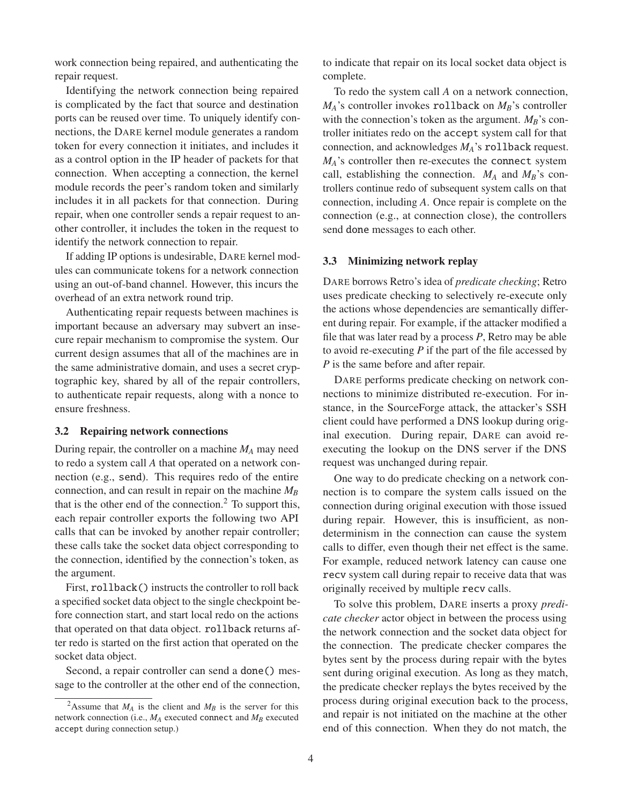work connection being repaired, and authenticating the repair request.

Identifying the network connection being repaired is complicated by the fact that source and destination ports can be reused over time. To uniquely identify connections, the DARE kernel module generates a random token for every connection it initiates, and includes it as a control option in the IP header of packets for that connection. When accepting a connection, the kernel module records the peer's random token and similarly includes it in all packets for that connection. During repair, when one controller sends a repair request to another controller, it includes the token in the request to identify the network connection to repair.

If adding IP options is undesirable, DARE kernel modules can communicate tokens for a network connection using an out-of-band channel. However, this incurs the overhead of an extra network round trip.

Authenticating repair requests between machines is important because an adversary may subvert an insecure repair mechanism to compromise the system. Our current design assumes that all of the machines are in the same administrative domain, and uses a secret cryptographic key, shared by all of the repair controllers, to authenticate repair requests, along with a nonce to ensure freshness.

#### 3.2 Repairing network connections

During repair, the controller on a machine *MA* may need to redo a system call *A* that operated on a network connection (e.g., send). This requires redo of the entire connection, and can result in repair on the machine  $M_B$ that is the other end of the connection. $<sup>2</sup>$  To support this,</sup> each repair controller exports the following two API calls that can be invoked by another repair controller; these calls take the socket data object corresponding to the connection, identified by the connection's token, as the argument.

First, rollback() instructs the controller to roll back a specified socket data object to the single checkpoint before connection start, and start local redo on the actions that operated on that data object. rollback returns after redo is started on the first action that operated on the socket data object.

Second, a repair controller can send a done() message to the controller at the other end of the connection, to indicate that repair on its local socket data object is complete.

To redo the system call *A* on a network connection,  $M_A$ 's controller invokes rollback on  $M_B$ 's controller with the connection's token as the argument.  $M_B$ 's controller initiates redo on the accept system call for that connection, and acknowledges *MA*'s rollback request. *MA*'s controller then re-executes the connect system call, establishing the connection.  $M_A$  and  $M_B$ 's controllers continue redo of subsequent system calls on that connection, including *A*. Once repair is complete on the connection (e.g., at connection close), the controllers send done messages to each other.

#### 3.3 Minimizing network replay

DARE borrows Retro's idea of *predicate checking*; Retro uses predicate checking to selectively re-execute only the actions whose dependencies are semantically different during repair. For example, if the attacker modified a file that was later read by a process *P*, Retro may be able to avoid re-executing *P* if the part of the file accessed by *P* is the same before and after repair.

DARE performs predicate checking on network connections to minimize distributed re-execution. For instance, in the SourceForge attack, the attacker's SSH client could have performed a DNS lookup during original execution. During repair, DARE can avoid reexecuting the lookup on the DNS server if the DNS request was unchanged during repair.

One way to do predicate checking on a network connection is to compare the system calls issued on the connection during original execution with those issued during repair. However, this is insufficient, as nondeterminism in the connection can cause the system calls to differ, even though their net effect is the same. For example, reduced network latency can cause one recv system call during repair to receive data that was originally received by multiple recv calls.

To solve this problem, DARE inserts a proxy *predicate checker* actor object in between the process using the network connection and the socket data object for the connection. The predicate checker compares the bytes sent by the process during repair with the bytes sent during original execution. As long as they match, the predicate checker replays the bytes received by the process during original execution back to the process, and repair is not initiated on the machine at the other end of this connection. When they do not match, the

<sup>&</sup>lt;sup>2</sup>Assume that  $M_A$  is the client and  $M_B$  is the server for this network connection (i.e.,  $M_A$  executed connect and  $M_B$  executed accept during connection setup.)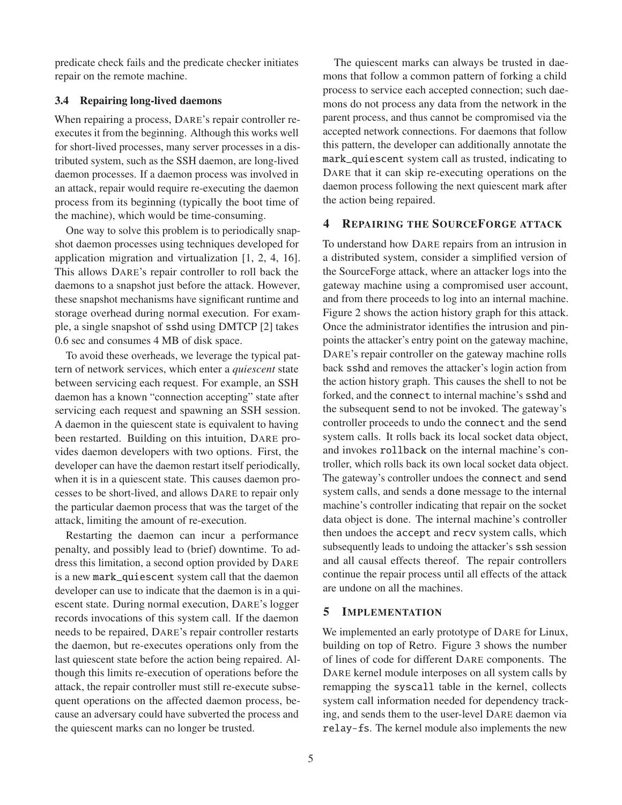predicate check fails and the predicate checker initiates repair on the remote machine.

# 3.4 Repairing long-lived daemons

When repairing a process, DARE's repair controller reexecutes it from the beginning. Although this works well for short-lived processes, many server processes in a distributed system, such as the SSH daemon, are long-lived daemon processes. If a daemon process was involved in an attack, repair would require re-executing the daemon process from its beginning (typically the boot time of the machine), which would be time-consuming.

One way to solve this problem is to periodically snapshot daemon processes using techniques developed for application migration and virtualization [1, 2, 4, 16]. This allows DARE's repair controller to roll back the daemons to a snapshot just before the attack. However, these snapshot mechanisms have significant runtime and storage overhead during normal execution. For example, a single snapshot of sshd using DMTCP [2] takes 0.6 sec and consumes 4 MB of disk space.

To avoid these overheads, we leverage the typical pattern of network services, which enter a *quiescent* state between servicing each request. For example, an SSH daemon has a known "connection accepting" state after servicing each request and spawning an SSH session. A daemon in the quiescent state is equivalent to having been restarted. Building on this intuition, DARE provides daemon developers with two options. First, the developer can have the daemon restart itself periodically, when it is in a quiescent state. This causes daemon processes to be short-lived, and allows DARE to repair only the particular daemon process that was the target of the attack, limiting the amount of re-execution.

Restarting the daemon can incur a performance penalty, and possibly lead to (brief) downtime. To address this limitation, a second option provided by DARE is a new mark\_quiescent system call that the daemon developer can use to indicate that the daemon is in a quiescent state. During normal execution, DARE's logger records invocations of this system call. If the daemon needs to be repaired, DARE's repair controller restarts the daemon, but re-executes operations only from the last quiescent state before the action being repaired. Although this limits re-execution of operations before the attack, the repair controller must still re-execute subsequent operations on the affected daemon process, because an adversary could have subverted the process and the quiescent marks can no longer be trusted.

The quiescent marks can always be trusted in daemons that follow a common pattern of forking a child process to service each accepted connection; such daemons do not process any data from the network in the parent process, and thus cannot be compromised via the accepted network connections. For daemons that follow this pattern, the developer can additionally annotate the mark\_quiescent system call as trusted, indicating to DARE that it can skip re-executing operations on the daemon process following the next quiescent mark after the action being repaired.

# 4 REPAIRING THE SOURCEFORGE ATTACK

To understand how DARE repairs from an intrusion in a distributed system, consider a simplified version of the SourceForge attack, where an attacker logs into the gateway machine using a compromised user account, and from there proceeds to log into an internal machine. Figure 2 shows the action history graph for this attack. Once the administrator identifies the intrusion and pinpoints the attacker's entry point on the gateway machine, DARE's repair controller on the gateway machine rolls back sshd and removes the attacker's login action from the action history graph. This causes the shell to not be forked, and the connect to internal machine's sshd and the subsequent send to not be invoked. The gateway's controller proceeds to undo the connect and the send system calls. It rolls back its local socket data object, and invokes rollback on the internal machine's controller, which rolls back its own local socket data object. The gateway's controller undoes the connect and send system calls, and sends a done message to the internal machine's controller indicating that repair on the socket data object is done. The internal machine's controller then undoes the accept and recv system calls, which subsequently leads to undoing the attacker's ssh session and all causal effects thereof. The repair controllers continue the repair process until all effects of the attack are undone on all the machines.

# 5 IMPLEMENTATION

We implemented an early prototype of DARE for Linux, building on top of Retro. Figure 3 shows the number of lines of code for different DARE components. The DARE kernel module interposes on all system calls by remapping the syscall table in the kernel, collects system call information needed for dependency tracking, and sends them to the user-level DARE daemon via relay-fs. The kernel module also implements the new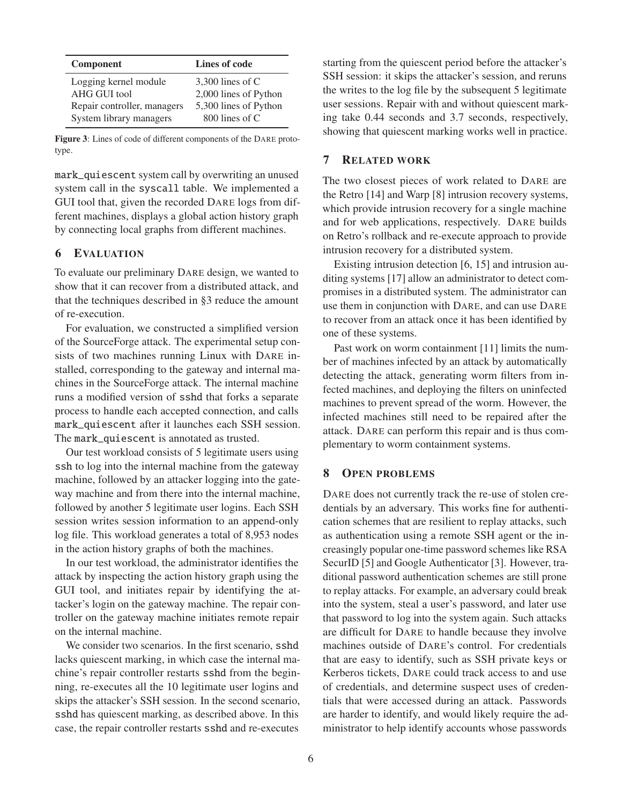| <b>Component</b>            | Lines of code         |
|-----------------------------|-----------------------|
| Logging kernel module       | 3,300 lines of $C$    |
| AHG GUI tool                | 2,000 lines of Python |
| Repair controller, managers | 5,300 lines of Python |
| System library managers     | 800 lines of C        |

Figure 3: Lines of code of different components of the DARE prototype.

mark\_quiescent system call by overwriting an unused system call in the syscall table. We implemented a GUI tool that, given the recorded DARE logs from different machines, displays a global action history graph by connecting local graphs from different machines.

# 6 EVALUATION

To evaluate our preliminary DARE design, we wanted to show that it can recover from a distributed attack, and that the techniques described in §3 reduce the amount of re-execution.

For evaluation, we constructed a simplified version of the SourceForge attack. The experimental setup consists of two machines running Linux with DARE installed, corresponding to the gateway and internal machines in the SourceForge attack. The internal machine runs a modified version of sshd that forks a separate process to handle each accepted connection, and calls mark\_quiescent after it launches each SSH session. The mark\_quiescent is annotated as trusted.

Our test workload consists of 5 legitimate users using ssh to log into the internal machine from the gateway machine, followed by an attacker logging into the gateway machine and from there into the internal machine, followed by another 5 legitimate user logins. Each SSH session writes session information to an append-only log file. This workload generates a total of 8,953 nodes in the action history graphs of both the machines.

In our test workload, the administrator identifies the attack by inspecting the action history graph using the GUI tool, and initiates repair by identifying the attacker's login on the gateway machine. The repair controller on the gateway machine initiates remote repair on the internal machine.

We consider two scenarios. In the first scenario, sshd lacks quiescent marking, in which case the internal machine's repair controller restarts sshd from the beginning, re-executes all the 10 legitimate user logins and skips the attacker's SSH session. In the second scenario, sshd has quiescent marking, as described above. In this case, the repair controller restarts sshd and re-executes

starting from the quiescent period before the attacker's SSH session: it skips the attacker's session, and reruns the writes to the log file by the subsequent 5 legitimate user sessions. Repair with and without quiescent marking take 0.44 seconds and 3.7 seconds, respectively, showing that quiescent marking works well in practice.

# 7 RELATED WORK

The two closest pieces of work related to DARE are the Retro [14] and Warp [8] intrusion recovery systems, which provide intrusion recovery for a single machine and for web applications, respectively. DARE builds on Retro's rollback and re-execute approach to provide intrusion recovery for a distributed system.

Existing intrusion detection [6, 15] and intrusion auditing systems [17] allow an administrator to detect compromises in a distributed system. The administrator can use them in conjunction with DARE, and can use DARE to recover from an attack once it has been identified by one of these systems.

Past work on worm containment [11] limits the number of machines infected by an attack by automatically detecting the attack, generating worm filters from infected machines, and deploying the filters on uninfected machines to prevent spread of the worm. However, the infected machines still need to be repaired after the attack. DARE can perform this repair and is thus complementary to worm containment systems.

# 8 OPEN PROBLEMS

DARE does not currently track the re-use of stolen credentials by an adversary. This works fine for authentication schemes that are resilient to replay attacks, such as authentication using a remote SSH agent or the increasingly popular one-time password schemes like RSA SecurID [5] and Google Authenticator [3]. However, traditional password authentication schemes are still prone to replay attacks. For example, an adversary could break into the system, steal a user's password, and later use that password to log into the system again. Such attacks are difficult for DARE to handle because they involve machines outside of DARE's control. For credentials that are easy to identify, such as SSH private keys or Kerberos tickets, DARE could track access to and use of credentials, and determine suspect uses of credentials that were accessed during an attack. Passwords are harder to identify, and would likely require the administrator to help identify accounts whose passwords